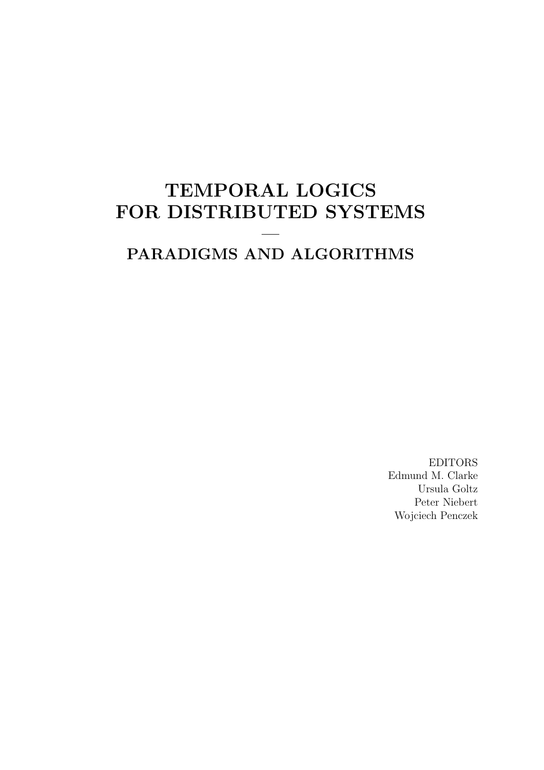# TEMPORAL LOGICS FOR DISTRIBUTED SYSTEMS

# PARADIGMS AND ALGORITHMS

—

EDITORS Edmund M. Clarke Ursula Goltz Peter Niebert Wojciech Penczek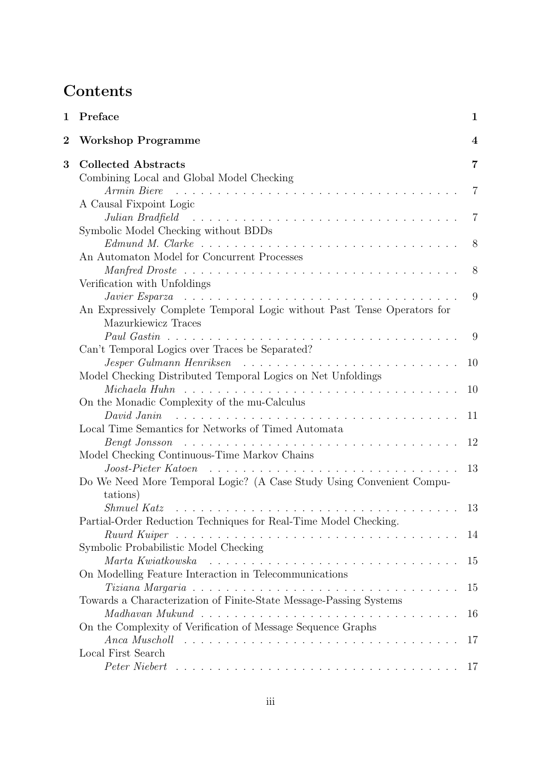# **Contents**

| 1        | Preface                                                                                                                                                                | 1  |
|----------|------------------------------------------------------------------------------------------------------------------------------------------------------------------------|----|
| $\bf{2}$ | <b>Workshop Programme</b>                                                                                                                                              | 4  |
| $\bf{3}$ | <b>Collected Abstracts</b>                                                                                                                                             | 7  |
|          | Combining Local and Global Model Checking                                                                                                                              |    |
|          | Armin Biere                                                                                                                                                            |    |
|          | A Causal Fixpoint Logic<br>Julian Bradfield                                                                                                                            | 7  |
|          | Symbolic Model Checking without BDDs                                                                                                                                   |    |
|          | $Edmund M. Clarke \dots \dots \dots \dots \dots \dots \dots \dots \dots \dots \dots \dots \dots$                                                                       | 8  |
|          | An Automaton Model for Concurrent Processes                                                                                                                            |    |
|          |                                                                                                                                                                        | 8  |
|          | Verification with Unfoldings                                                                                                                                           |    |
|          | Javier Esparza $\ldots \ldots \ldots \ldots \ldots \ldots \ldots \ldots \ldots \ldots \ldots \ldots \ldots$                                                            | 9  |
|          | An Expressively Complete Temporal Logic without Past Tense Operators for                                                                                               |    |
|          | Mazurkiewicz Traces                                                                                                                                                    |    |
|          |                                                                                                                                                                        | 9  |
|          | Can't Temporal Logics over Traces be Separated?                                                                                                                        | 10 |
|          | Model Checking Distributed Temporal Logics on Net Unfoldings                                                                                                           |    |
|          |                                                                                                                                                                        | 10 |
|          | On the Monadic Complexity of the mu-Calculus                                                                                                                           |    |
|          | David Janin                                                                                                                                                            | 11 |
|          | Local Time Semantics for Networks of Timed Automata                                                                                                                    |    |
|          | $\textit{Bengt Jonsson}$ $\ldots$ $\ldots$ $\ldots$ $\ldots$ $\ldots$ $\ldots$ $\ldots$ $\ldots$ $\ldots$ $\ldots$ $\ldots$ $\ldots$                                   | 12 |
|          | Model Checking Continuous-Time Markov Chains                                                                                                                           |    |
|          | Joost-Pieter Katoen                                                                                                                                                    | 13 |
|          | Do We Need More Temporal Logic? (A Case Study Using Convenient Compu-                                                                                                  |    |
|          | tations)                                                                                                                                                               |    |
|          |                                                                                                                                                                        | 13 |
|          | Partial-Order Reduction Techniques for Real-Time Model Checking.<br>Ruurd Kuiper $\ldots \ldots \ldots \ldots \ldots \ldots \ldots \ldots \ldots \ldots \ldots \ldots$ | 14 |
|          | Symbolic Probabilistic Model Checking                                                                                                                                  |    |
|          | Marta Kwiatkowska rungeren en marta en marta Kwiatkowska rungeren marta en marta en marta en marta en marta en                                                         | 15 |
|          | On Modelling Feature Interaction in Telecommunications                                                                                                                 |    |
|          |                                                                                                                                                                        | 15 |
|          | Towards a Characterization of Finite-State Message-Passing Systems                                                                                                     |    |
|          |                                                                                                                                                                        | 16 |
|          | On the Complexity of Verification of Message Sequence Graphs                                                                                                           |    |
|          |                                                                                                                                                                        | 17 |
|          | Local First Search                                                                                                                                                     |    |
|          |                                                                                                                                                                        |    |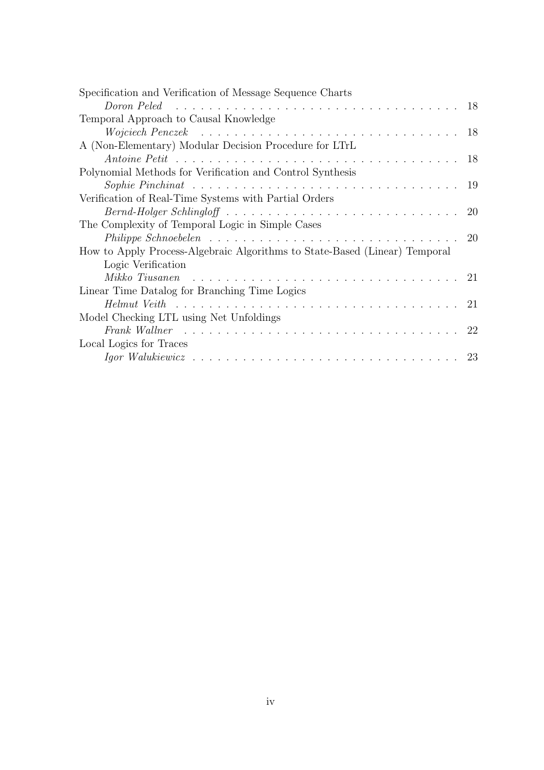| Specification and Verification of Message Sequence Charts                                                     |  |
|---------------------------------------------------------------------------------------------------------------|--|
| Doron Peled $\ldots \ldots \ldots \ldots \ldots \ldots \ldots \ldots \ldots \ldots \ldots \ldots \ldots 18$   |  |
| Temporal Approach to Causal Knowledge                                                                         |  |
| Wojciech Penczek $\ldots \ldots \ldots \ldots \ldots \ldots \ldots \ldots \ldots \ldots \ldots \ldots 18$     |  |
| A (Non-Elementary) Modular Decision Procedure for LTrL                                                        |  |
|                                                                                                               |  |
| Polynomial Methods for Verification and Control Synthesis                                                     |  |
|                                                                                                               |  |
| Verification of Real-Time Systems with Partial Orders                                                         |  |
|                                                                                                               |  |
| The Complexity of Temporal Logic in Simple Cases                                                              |  |
| Philippe Schnoebelen $\ldots \ldots \ldots \ldots \ldots \ldots \ldots \ldots \ldots \ldots \ldots 20$        |  |
| How to Apply Process-Algebraic Algorithms to State-Based (Linear) Temporal                                    |  |
| Logic Verification                                                                                            |  |
| $Mikko$ Tiusanen $\cdots \cdots \cdots \cdots \cdots \cdots \cdots \cdots \cdots \cdots \cdots 21$            |  |
| Linear Time Datalog for Branching Time Logics                                                                 |  |
|                                                                                                               |  |
| Model Checking LTL using Net Unfoldings                                                                       |  |
| Frank Wallner $\ldots \ldots \ldots \ldots \ldots \ldots \ldots \ldots \ldots \ldots \ldots \ldots \ldots 22$ |  |
| Local Logics for Traces                                                                                       |  |
|                                                                                                               |  |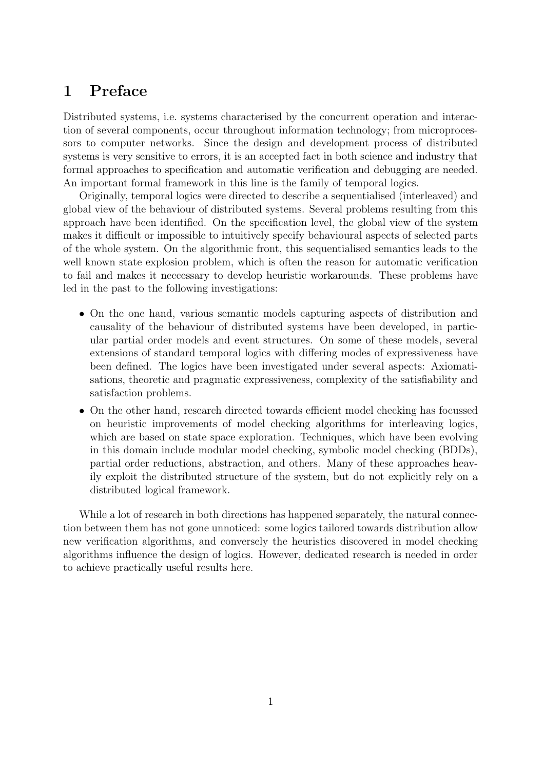# 1 Preface

Distributed systems, i.e. systems characterised by the concurrent operation and interaction of several components, occur throughout information technology; from microprocessors to computer networks. Since the design and development process of distributed systems is very sensitive to errors, it is an accepted fact in both science and industry that formal approaches to specification and automatic verification and debugging are needed. An important formal framework in this line is the family of temporal logics.

Originally, temporal logics were directed to describe a sequentialised (interleaved) and global view of the behaviour of distributed systems. Several problems resulting from this approach have been identified. On the specification level, the global view of the system makes it difficult or impossible to intuitively specify behavioural aspects of selected parts of the whole system. On the algorithmic front, this sequentialised semantics leads to the well known state explosion problem, which is often the reason for automatic verification to fail and makes it neccessary to develop heuristic workarounds. These problems have led in the past to the following investigations:

- On the one hand, various semantic models capturing aspects of distribution and causality of the behaviour of distributed systems have been developed, in particular partial order models and event structures. On some of these models, several extensions of standard temporal logics with differing modes of expressiveness have been defined. The logics have been investigated under several aspects: Axiomatisations, theoretic and pragmatic expressiveness, complexity of the satisfiability and satisfaction problems.
- On the other hand, research directed towards efficient model checking has focussed on heuristic improvements of model checking algorithms for interleaving logics, which are based on state space exploration. Techniques, which have been evolving in this domain include modular model checking, symbolic model checking (BDDs), partial order reductions, abstraction, and others. Many of these approaches heavily exploit the distributed structure of the system, but do not explicitly rely on a distributed logical framework.

While a lot of research in both directions has happened separately, the natural connection between them has not gone unnoticed: some logics tailored towards distribution allow new verification algorithms, and conversely the heuristics discovered in model checking algorithms influence the design of logics. However, dedicated research is needed in order to achieve practically useful results here.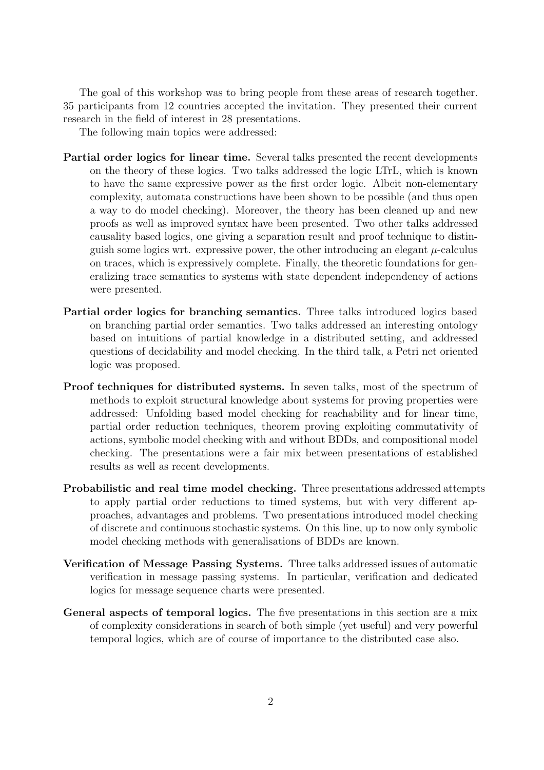The goal of this workshop was to bring people from these areas of research together. 35 participants from 12 countries accepted the invitation. They presented their current research in the field of interest in 28 presentations.

The following main topics were addressed:

- Partial order logics for linear time. Several talks presented the recent developments on the theory of these logics. Two talks addressed the logic LTrL, which is known to have the same expressive power as the first order logic. Albeit non-elementary complexity, automata constructions have been shown to be possible (and thus open a way to do model checking). Moreover, the theory has been cleaned up and new proofs as well as improved syntax have been presented. Two other talks addressed causality based logics, one giving a separation result and proof technique to distinguish some logics wrt. expressive power, the other introducing an elegant  $\mu$ -calculus on traces, which is expressively complete. Finally, the theoretic foundations for generalizing trace semantics to systems with state dependent independency of actions were presented.
- Partial order logics for branching semantics. Three talks introduced logics based on branching partial order semantics. Two talks addressed an interesting ontology based on intuitions of partial knowledge in a distributed setting, and addressed questions of decidability and model checking. In the third talk, a Petri net oriented logic was proposed.
- Proof techniques for distributed systems. In seven talks, most of the spectrum of methods to exploit structural knowledge about systems for proving properties were addressed: Unfolding based model checking for reachability and for linear time, partial order reduction techniques, theorem proving exploiting commutativity of actions, symbolic model checking with and without BDDs, and compositional model checking. The presentations were a fair mix between presentations of established results as well as recent developments.
- Probabilistic and real time model checking. Three presentations addressed attempts to apply partial order reductions to timed systems, but with very different approaches, advantages and problems. Two presentations introduced model checking of discrete and continuous stochastic systems. On this line, up to now only symbolic model checking methods with generalisations of BDDs are known.
- Verification of Message Passing Systems. Three talks addressed issues of automatic verification in message passing systems. In particular, verification and dedicated logics for message sequence charts were presented.
- General aspects of temporal logics. The five presentations in this section are a mix of complexity considerations in search of both simple (yet useful) and very powerful temporal logics, which are of course of importance to the distributed case also.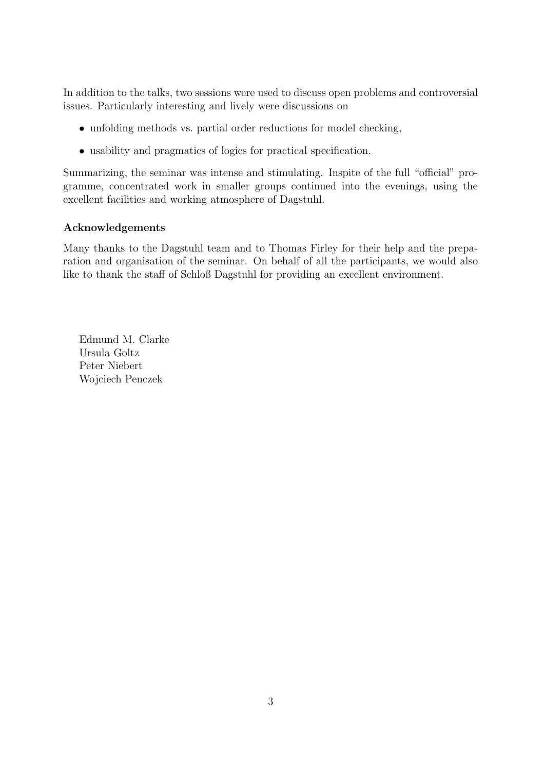In addition to the talks, two sessions were used to discuss open problems and controversial issues. Particularly interesting and lively were discussions on

- unfolding methods vs. partial order reductions for model checking,
- usability and pragmatics of logics for practical specification.

Summarizing, the seminar was intense and stimulating. Inspite of the full "official" programme, concentrated work in smaller groups continued into the evenings, using the excellent facilities and working atmosphere of Dagstuhl.

#### Acknowledgements

Many thanks to the Dagstuhl team and to Thomas Firley for their help and the preparation and organisation of the seminar. On behalf of all the participants, we would also like to thank the staff of Schloß Dagstuhl for providing an excellent environment.

Edmund M. Clarke Ursula Goltz Peter Niebert Wojciech Penczek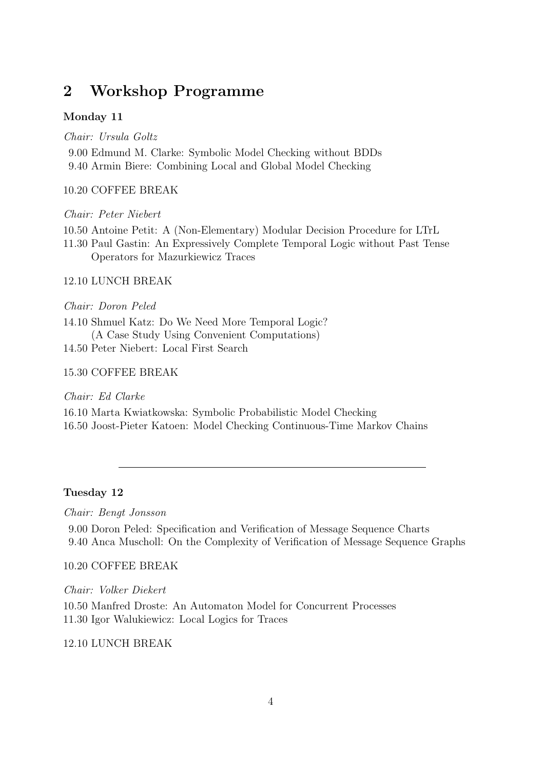# 2 Workshop Programme

#### Monday 11

Chair: Ursula Goltz 9.00 Edmund M. Clarke: Symbolic Model Checking without BDDs 9.40 Armin Biere: Combining Local and Global Model Checking

#### 10.20 COFFEE BREAK

#### Chair: Peter Niebert

- 10.50 Antoine Petit: A (Non-Elementary) Modular Decision Procedure for LTrL
- 11.30 Paul Gastin: An Expressively Complete Temporal Logic without Past Tense Operators for Mazurkiewicz Traces

#### 12.10 LUNCH BREAK

Chair: Doron Peled

14.10 Shmuel Katz: Do We Need More Temporal Logic? (A Case Study Using Convenient Computations) 14.50 Peter Niebert: Local First Search

#### 15.30 COFFEE BREAK

Chair: Ed Clarke

16.10 Marta Kwiatkowska: Symbolic Probabilistic Model Checking 16.50 Joost-Pieter Katoen: Model Checking Continuous-Time Markov Chains

#### Tuesday 12

Chair: Bengt Jonsson

9.00 Doron Peled: Specification and Verification of Message Sequence Charts 9.40 Anca Muscholl: On the Complexity of Verification of Message Sequence Graphs

#### 10.20 COFFEE BREAK

Chair: Volker Diekert 10.50 Manfred Droste: An Automaton Model for Concurrent Processes 11.30 Igor Walukiewicz: Local Logics for Traces

#### 12.10 LUNCH BREAK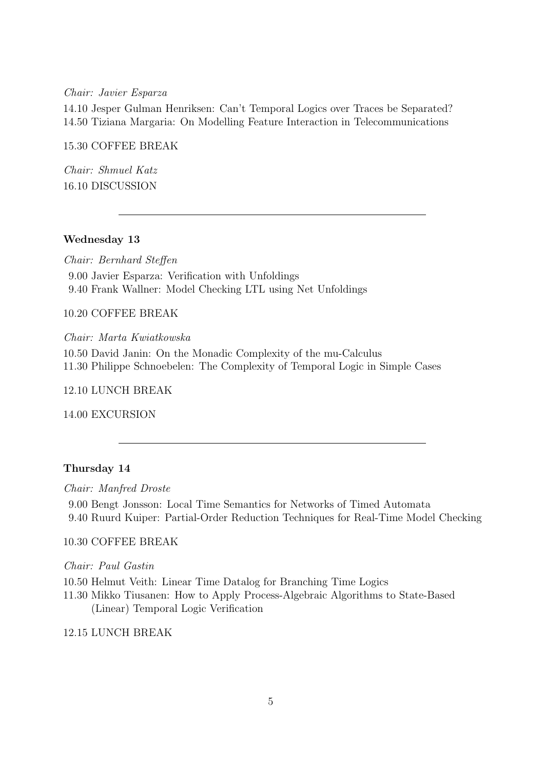Chair: Javier Esparza

14.10 Jesper Gulman Henriksen: Can't Temporal Logics over Traces be Separated? 14.50 Tiziana Margaria: On Modelling Feature Interaction in Telecommunications

15.30 COFFEE BREAK

Chair: Shmuel Katz 16.10 DISCUSSION

#### Wednesday 13

Chair: Bernhard Steffen 9.00 Javier Esparza: Verification with Unfoldings 9.40 Frank Wallner: Model Checking LTL using Net Unfoldings

10.20 COFFEE BREAK

Chair: Marta Kwiatkowska

10.50 David Janin: On the Monadic Complexity of the mu-Calculus 11.30 Philippe Schnoebelen: The Complexity of Temporal Logic in Simple Cases

12.10 LUNCH BREAK

14.00 EXCURSION

#### Thursday 14

Chair: Manfred Droste

9.00 Bengt Jonsson: Local Time Semantics for Networks of Timed Automata 9.40 Ruurd Kuiper: Partial-Order Reduction Techniques for Real-Time Model Checking

#### 10.30 COFFEE BREAK

Chair: Paul Gastin

10.50 Helmut Veith: Linear Time Datalog for Branching Time Logics

11.30 Mikko Tiusanen: How to Apply Process-Algebraic Algorithms to State-Based (Linear) Temporal Logic Verification

12.15 LUNCH BREAK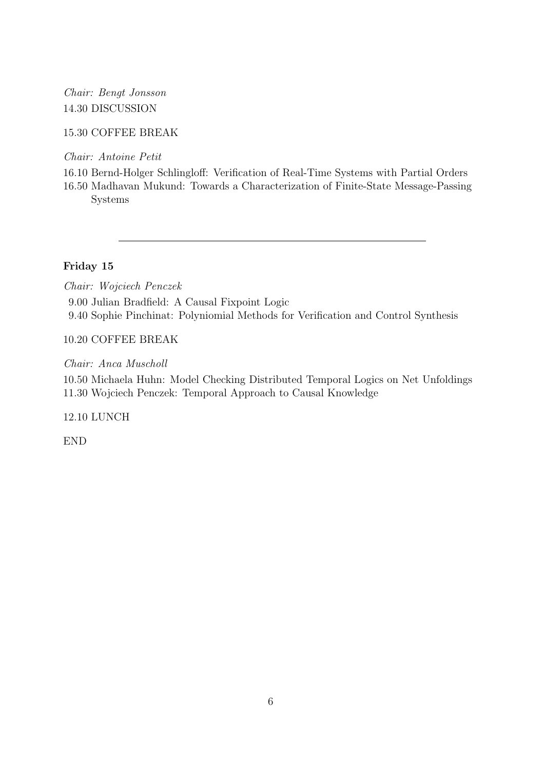### Chair: Bengt Jonsson 14.30 DISCUSSION

### 15.30 COFFEE BREAK

Chair: Antoine Petit

16.10 Bernd-Holger Schlingloff: Verification of Real-Time Systems with Partial Orders

16.50 Madhavan Mukund: Towards a Characterization of Finite-State Message-Passing Systems

### Friday 15

Chair: Wojciech Penczek

9.00 Julian Bradfield: A Causal Fixpoint Logic 9.40 Sophie Pinchinat: Polyniomial Methods for Verification and Control Synthesis

### 10.20 COFFEE BREAK

Chair: Anca Muscholl

10.50 Michaela Huhn: Model Checking Distributed Temporal Logics on Net Unfoldings 11.30 Wojciech Penczek: Temporal Approach to Causal Knowledge

12.10 LUNCH

END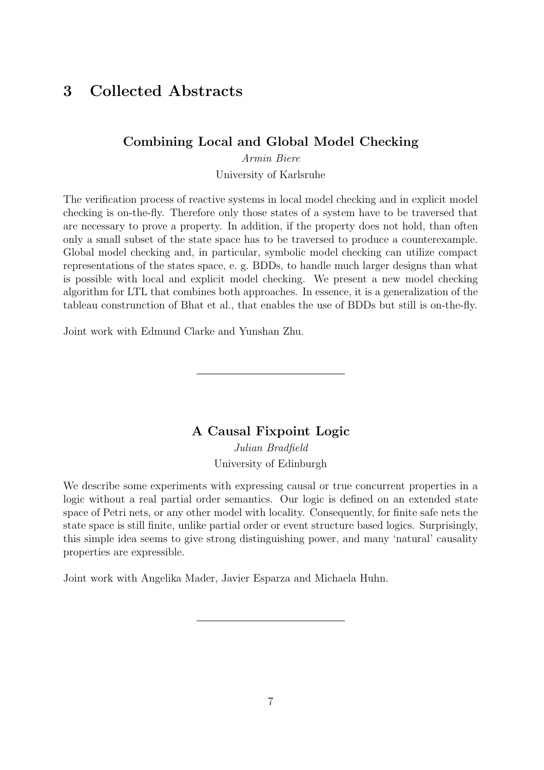# 3 Collected Abstracts

### Combining Local and Global Model Checking

Armin Biere University of Karlsruhe

The verification process of reactive systems in local model checking and in explicit model checking is on-the-fly. Therefore only those states of a system have to be traversed that are necessary to prove a property. In addition, if the property does not hold, than often only a small subset of the state space has to be traversed to produce a counterexample. Global model checking and, in particular, symbolic model checking can utilize compact representations of the states space, e. g. BDDs, to handle much larger designs than what is possible with local and explicit model checking. We present a new model checking algorithm for LTL that combines both approaches. In essence, it is a generalization of the tableau construnction of Bhat et al., that enables the use of BDDs but still is on-the-fly.

Joint work with Edmund Clarke and Yunshan Zhu.

A Causal Fixpoint Logic Julian Bradfield

University of Edinburgh

We describe some experiments with expressing causal or true concurrent properties in a logic without a real partial order semantics. Our logic is defined on an extended state space of Petri nets, or any other model with locality. Consequently, for finite safe nets the state space is still finite, unlike partial order or event structure based logics. Surprisingly, this simple idea seems to give strong distinguishing power, and many 'natural' causality properties are expressible.

Joint work with Angelika Mader, Javier Esparza and Michaela Huhn.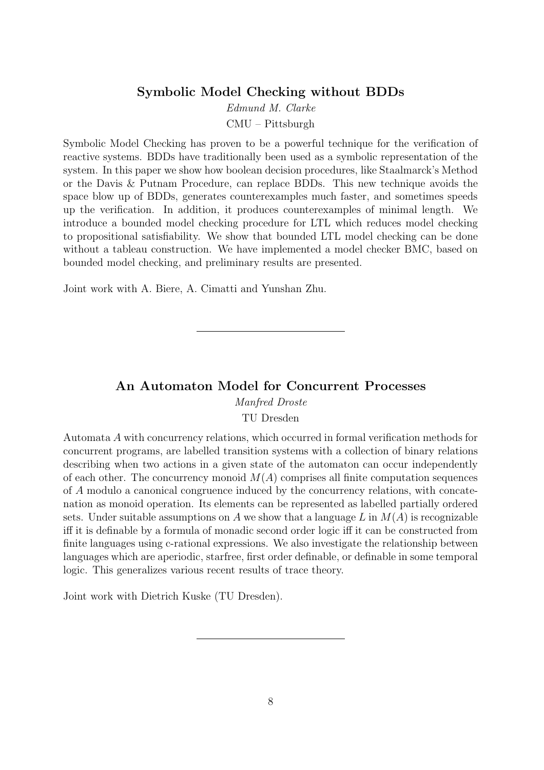### Symbolic Model Checking without BDDs

Edmund M. Clarke CMU – Pittsburgh

Symbolic Model Checking has proven to be a powerful technique for the verification of reactive systems. BDDs have traditionally been used as a symbolic representation of the system. In this paper we show how boolean decision procedures, like Staalmarck's Method or the Davis & Putnam Procedure, can replace BDDs. This new technique avoids the space blow up of BDDs, generates counterexamples much faster, and sometimes speeds up the verification. In addition, it produces counterexamples of minimal length. We introduce a bounded model checking procedure for LTL which reduces model checking to propositional satisfiability. We show that bounded LTL model checking can be done without a tableau construction. We have implemented a model checker BMC, based on bounded model checking, and preliminary results are presented.

Joint work with A. Biere, A. Cimatti and Yunshan Zhu.

### An Automaton Model for Concurrent Processes

Manfred Droste

TU Dresden

Automata A with concurrency relations, which occurred in formal verification methods for concurrent programs, are labelled transition systems with a collection of binary relations describing when two actions in a given state of the automaton can occur independently of each other. The concurrency monoid  $M(A)$  comprises all finite computation sequences of A modulo a canonical congruence induced by the concurrency relations, with concatenation as monoid operation. Its elements can be represented as labelled partially ordered sets. Under suitable assumptions on A we show that a language L in  $M(A)$  is recognizable iff it is definable by a formula of monadic second order logic iff it can be constructed from finite languages using c-rational expressions. We also investigate the relationship between languages which are aperiodic, starfree, first order definable, or definable in some temporal logic. This generalizes various recent results of trace theory.

Joint work with Dietrich Kuske (TU Dresden).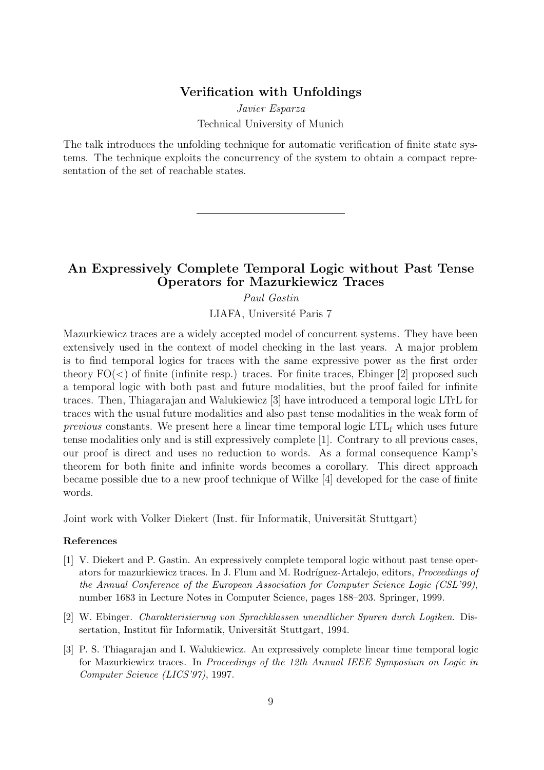#### Verification with Unfoldings

Javier Esparza Technical University of Munich

The talk introduces the unfolding technique for automatic verification of finite state systems. The technique exploits the concurrency of the system to obtain a compact representation of the set of reachable states.

### An Expressively Complete Temporal Logic without Past Tense Operators for Mazurkiewicz Traces

Paul Gastin

LIAFA, Université Paris 7

Mazurkiewicz traces are a widely accepted model of concurrent systems. They have been extensively used in the context of model checking in the last years. A major problem is to find temporal logics for traces with the same expressive power as the first order theory  $FO(<)$  of finite (infinite resp.) traces. For finite traces, Ebinger [2] proposed such a temporal logic with both past and future modalities, but the proof failed for infinite traces. Then, Thiagarajan and Walukiewicz [3] have introduced a temporal logic LTrL for traces with the usual future modalities and also past tense modalities in the weak form of previous constants. We present here a linear time temporal logic  $LTL_f$  which uses future tense modalities only and is still expressively complete [1]. Contrary to all previous cases, our proof is direct and uses no reduction to words. As a formal consequence Kamp's theorem for both finite and infinite words becomes a corollary. This direct approach became possible due to a new proof technique of Wilke [4] developed for the case of finite words.

Joint work with Volker Diekert (Inst. für Informatik, Universität Stuttgart)

#### References

- [1] V. Diekert and P. Gastin. An expressively complete temporal logic without past tense operators for mazurkiewicz traces. In J. Flum and M. Rodríguez-Artalejo, editors, *Proceedings of* the Annual Conference of the European Association for Computer Science Logic (CSL'99), number 1683 in Lecture Notes in Computer Science, pages 188–203. Springer, 1999.
- [2] W. Ebinger. Charakterisierung von Sprachklassen unendlicher Spuren durch Logiken. Dissertation, Institut für Informatik, Universität Stuttgart, 1994.
- [3] P. S. Thiagarajan and I. Walukiewicz. An expressively complete linear time temporal logic for Mazurkiewicz traces. In Proceedings of the 12th Annual IEEE Symposium on Logic in Computer Science (LICS'97), 1997.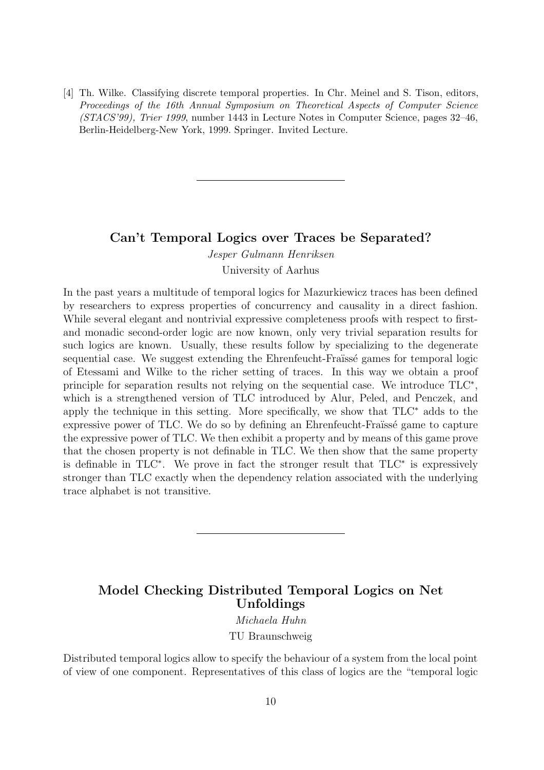[4] Th. Wilke. Classifying discrete temporal properties. In Chr. Meinel and S. Tison, editors, Proceedings of the 16th Annual Symposium on Theoretical Aspects of Computer Science (STACS'99), Trier 1999, number 1443 in Lecture Notes in Computer Science, pages 32–46, Berlin-Heidelberg-New York, 1999. Springer. Invited Lecture.

#### Can't Temporal Logics over Traces be Separated?

Jesper Gulmann Henriksen

University of Aarhus

In the past years a multitude of temporal logics for Mazurkiewicz traces has been defined by researchers to express properties of concurrency and causality in a direct fashion. While several elegant and nontrivial expressive completeness proofs with respect to firstand monadic second-order logic are now known, only very trivial separation results for such logics are known. Usually, these results follow by specializing to the degenerate sequential case. We suggest extending the Ehrenfeucht-Fraïssé games for temporal logic of Etessami and Wilke to the richer setting of traces. In this way we obtain a proof principle for separation results not relying on the sequential case. We introduce TLC<sup>\*</sup>, which is a strengthened version of TLC introduced by Alur, Peled, and Penczek, and apply the technique in this setting. More specifically, we show that TLC<sup>∗</sup> adds to the expressive power of TLC. We do so by defining an Ehrenfeucht-Fraïssé game to capture the expressive power of TLC. We then exhibit a property and by means of this game prove that the chosen property is not definable in TLC. We then show that the same property is definable in TLC<sup>∗</sup> . We prove in fact the stronger result that TLC<sup>∗</sup> is expressively stronger than TLC exactly when the dependency relation associated with the underlying trace alphabet is not transitive.

### Model Checking Distributed Temporal Logics on Net Unfoldings

Michaela Huhn TU Braunschweig

Distributed temporal logics allow to specify the behaviour of a system from the local point of view of one component. Representatives of this class of logics are the "temporal logic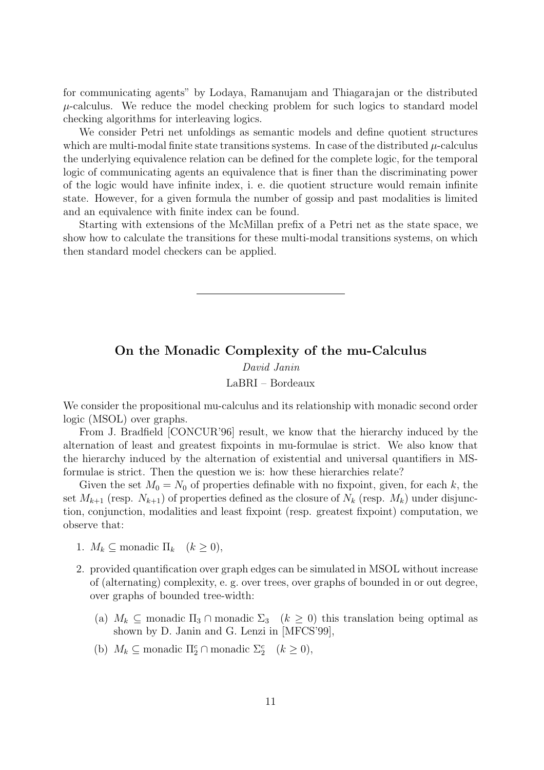for communicating agents" by Lodaya, Ramanujam and Thiagarajan or the distributed  $\mu$ -calculus. We reduce the model checking problem for such logics to standard model checking algorithms for interleaving logics.

We consider Petri net unfoldings as semantic models and define quotient structures which are multi-modal finite state transitions systems. In case of the distributed  $\mu$ -calculus the underlying equivalence relation can be defined for the complete logic, for the temporal logic of communicating agents an equivalence that is finer than the discriminating power of the logic would have infinite index, i. e. die quotient structure would remain infinite state. However, for a given formula the number of gossip and past modalities is limited and an equivalence with finite index can be found.

Starting with extensions of the McMillan prefix of a Petri net as the state space, we show how to calculate the transitions for these multi-modal transitions systems, on which then standard model checkers can be applied.

## On the Monadic Complexity of the mu-Calculus David Janin LaBRI – Bordeaux

We consider the propositional mu-calculus and its relationship with monadic second order logic (MSOL) over graphs.

From J. Bradfield [CONCUR'96] result, we know that the hierarchy induced by the alternation of least and greatest fixpoints in mu-formulae is strict. We also know that the hierarchy induced by the alternation of existential and universal quantifiers in MSformulae is strict. Then the question we is: how these hierarchies relate?

Given the set  $M_0 = N_0$  of properties definable with no fixpoint, given, for each k, the set  $M_{k+1}$  (resp.  $N_{k+1}$ ) of properties defined as the closure of  $N_k$  (resp.  $M_k$ ) under disjunction, conjunction, modalities and least fixpoint (resp. greatest fixpoint) computation, we observe that:

- 1.  $M_k \subseteq$  monadic  $\Pi_k \quad (k \geq 0)$ ,
- 2. provided quantification over graph edges can be simulated in MSOL without increase of (alternating) complexity, e. g. over trees, over graphs of bounded in or out degree, over graphs of bounded tree-width:
	- (a)  $M_k \subseteq$  monadic  $\Pi_3 \cap$  monadic  $\Sigma_3$   $(k \geq 0)$  this translation being optimal as shown by D. Janin and G. Lenzi in [MFCS'99],
	- (b)  $M_k \subseteq \text{monadic } \Pi_2^c \cap \text{monadic } \Sigma_2^c \quad (k \geq 0),$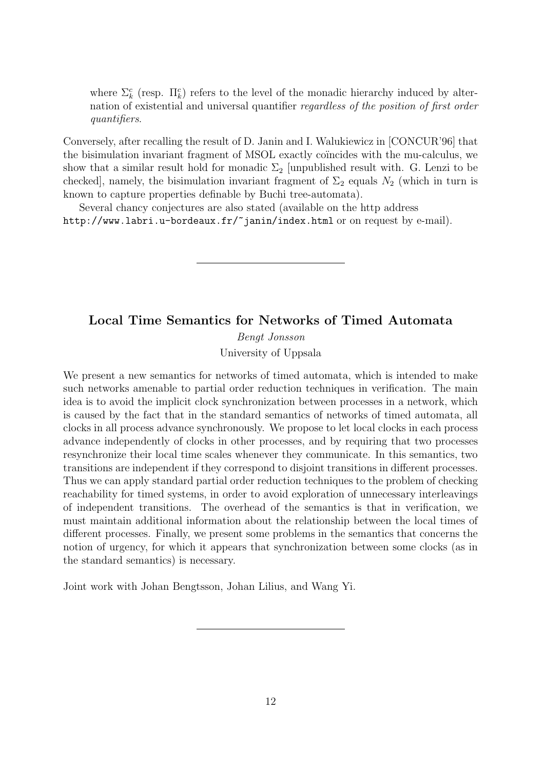where  $\Sigma_k^c$  (resp.  $\Pi_k^c$ ) refers to the level of the monadic hierarchy induced by alternation of existential and universal quantifier regardless of the position of first order quantifiers.

Conversely, after recalling the result of D. Janin and I. Walukiewicz in [CONCUR'96] that the bisimulation invariant fragment of MSOL exactly coincides with the mu-calculus, we show that a similar result hold for monadic  $\Sigma_2$  [unpublished result with. G. Lenzi to be checked], namely, the bisimulation invariant fragment of  $\Sigma_2$  equals  $N_2$  (which in turn is known to capture properties definable by Buchi tree-automata).

Several chancy conjectures are also stated (available on the http address http://www.labri.u-bordeaux.fr/~janin/index.html or on request by e-mail).

#### Local Time Semantics for Networks of Timed Automata

Bengt Jonsson University of Uppsala

We present a new semantics for networks of timed automata, which is intended to make such networks amenable to partial order reduction techniques in verification. The main idea is to avoid the implicit clock synchronization between processes in a network, which is caused by the fact that in the standard semantics of networks of timed automata, all clocks in all process advance synchronously. We propose to let local clocks in each process advance independently of clocks in other processes, and by requiring that two processes resynchronize their local time scales whenever they communicate. In this semantics, two transitions are independent if they correspond to disjoint transitions in different processes. Thus we can apply standard partial order reduction techniques to the problem of checking reachability for timed systems, in order to avoid exploration of unnecessary interleavings of independent transitions. The overhead of the semantics is that in verification, we must maintain additional information about the relationship between the local times of different processes. Finally, we present some problems in the semantics that concerns the notion of urgency, for which it appears that synchronization between some clocks (as in the standard semantics) is necessary.

Joint work with Johan Bengtsson, Johan Lilius, and Wang Yi.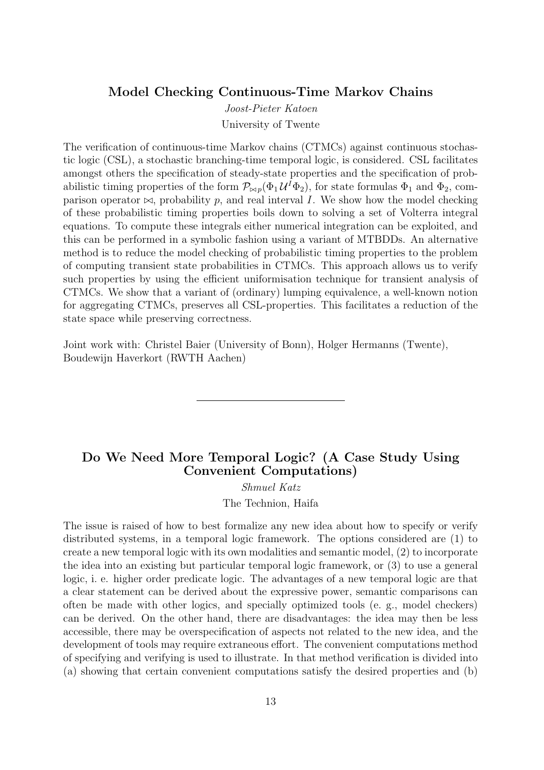#### Model Checking Continuous-Time Markov Chains

Joost-Pieter Katoen University of Twente

The verification of continuous-time Markov chains (CTMCs) against continuous stochastic logic (CSL), a stochastic branching-time temporal logic, is considered. CSL facilitates amongst others the specification of steady-state properties and the specification of probabilistic timing properties of the form  $\mathcal{P}_{\bowtie p}(\Phi_1 \mathcal{U}^I \Phi_2)$ , for state formulas  $\Phi_1$  and  $\Phi_2$ , comparison operator  $\bowtie$ , probability p, and real interval I. We show how the model checking of these probabilistic timing properties boils down to solving a set of Volterra integral equations. To compute these integrals either numerical integration can be exploited, and this can be performed in a symbolic fashion using a variant of MTBDDs. An alternative method is to reduce the model checking of probabilistic timing properties to the problem of computing transient state probabilities in CTMCs. This approach allows us to verify such properties by using the efficient uniformisation technique for transient analysis of CTMCs. We show that a variant of (ordinary) lumping equivalence, a well-known notion for aggregating CTMCs, preserves all CSL-properties. This facilitates a reduction of the state space while preserving correctness.

Joint work with: Christel Baier (University of Bonn), Holger Hermanns (Twente), Boudewijn Haverkort (RWTH Aachen)

### Do We Need More Temporal Logic? (A Case Study Using Convenient Computations)

Shmuel Katz The Technion, Haifa

The issue is raised of how to best formalize any new idea about how to specify or verify distributed systems, in a temporal logic framework. The options considered are (1) to create a new temporal logic with its own modalities and semantic model, (2) to incorporate the idea into an existing but particular temporal logic framework, or (3) to use a general logic, i. e. higher order predicate logic. The advantages of a new temporal logic are that a clear statement can be derived about the expressive power, semantic comparisons can often be made with other logics, and specially optimized tools (e. g., model checkers) can be derived. On the other hand, there are disadvantages: the idea may then be less accessible, there may be overspecification of aspects not related to the new idea, and the development of tools may require extraneous effort. The convenient computations method of specifying and verifying is used to illustrate. In that method verification is divided into (a) showing that certain convenient computations satisfy the desired properties and (b)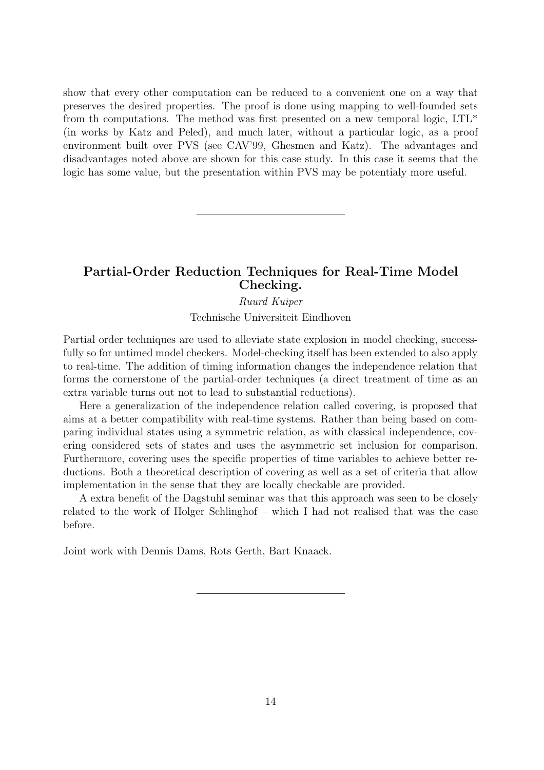show that every other computation can be reduced to a convenient one on a way that preserves the desired properties. The proof is done using mapping to well-founded sets from th computations. The method was first presented on a new temporal logic,  $LTL^*$ (in works by Katz and Peled), and much later, without a particular logic, as a proof environment built over PVS (see CAV'99, Ghesmen and Katz). The advantages and disadvantages noted above are shown for this case study. In this case it seems that the logic has some value, but the presentation within PVS may be potentialy more useful.

### Partial-Order Reduction Techniques for Real-Time Model Checking.

#### Ruurd Kuiper

Technische Universiteit Eindhoven

Partial order techniques are used to alleviate state explosion in model checking, successfully so for untimed model checkers. Model-checking itself has been extended to also apply to real-time. The addition of timing information changes the independence relation that forms the cornerstone of the partial-order techniques (a direct treatment of time as an extra variable turns out not to lead to substantial reductions).

Here a generalization of the independence relation called covering, is proposed that aims at a better compatibility with real-time systems. Rather than being based on comparing individual states using a symmetric relation, as with classical independence, covering considered sets of states and uses the asymmetric set inclusion for comparison. Furthermore, covering uses the specific properties of time variables to achieve better reductions. Both a theoretical description of covering as well as a set of criteria that allow implementation in the sense that they are locally checkable are provided.

A extra benefit of the Dagstuhl seminar was that this approach was seen to be closely related to the work of Holger Schlinghof – which I had not realised that was the case before.

Joint work with Dennis Dams, Rots Gerth, Bart Knaack.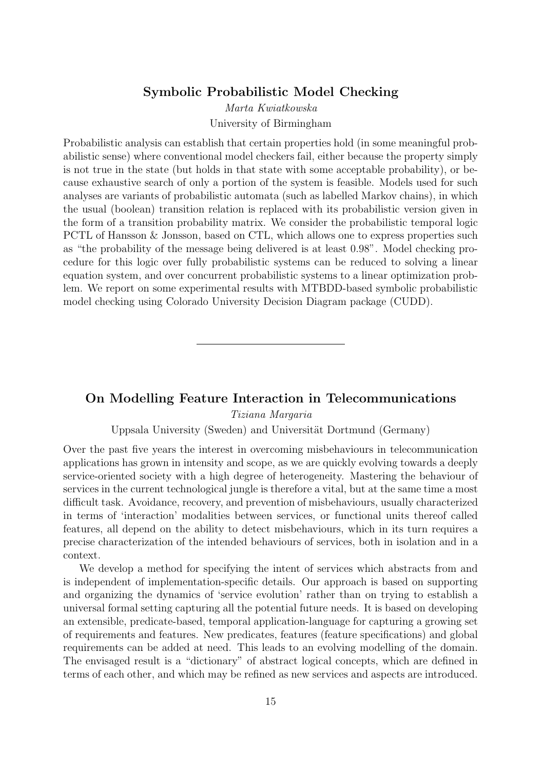### Symbolic Probabilistic Model Checking

Marta Kwiatkowska University of Birmingham

Probabilistic analysis can establish that certain properties hold (in some meaningful probabilistic sense) where conventional model checkers fail, either because the property simply is not true in the state (but holds in that state with some acceptable probability), or because exhaustive search of only a portion of the system is feasible. Models used for such analyses are variants of probabilistic automata (such as labelled Markov chains), in which the usual (boolean) transition relation is replaced with its probabilistic version given in the form of a transition probability matrix. We consider the probabilistic temporal logic PCTL of Hansson & Jonsson, based on CTL, which allows one to express properties such as "the probability of the message being delivered is at least 0.98". Model checking procedure for this logic over fully probabilistic systems can be reduced to solving a linear equation system, and over concurrent probabilistic systems to a linear optimization problem. We report on some experimental results with MTBDD-based symbolic probabilistic model checking using Colorado University Decision Diagram package (CUDD).

### On Modelling Feature Interaction in Telecommunications

Tiziana Margaria

Uppsala University (Sweden) and Universität Dortmund (Germany)

Over the past five years the interest in overcoming misbehaviours in telecommunication applications has grown in intensity and scope, as we are quickly evolving towards a deeply service-oriented society with a high degree of heterogeneity. Mastering the behaviour of services in the current technological jungle is therefore a vital, but at the same time a most difficult task. Avoidance, recovery, and prevention of misbehaviours, usually characterized in terms of 'interaction' modalities between services, or functional units thereof called features, all depend on the ability to detect misbehaviours, which in its turn requires a precise characterization of the intended behaviours of services, both in isolation and in a context.

We develop a method for specifying the intent of services which abstracts from and is independent of implementation-specific details. Our approach is based on supporting and organizing the dynamics of 'service evolution' rather than on trying to establish a universal formal setting capturing all the potential future needs. It is based on developing an extensible, predicate-based, temporal application-language for capturing a growing set of requirements and features. New predicates, features (feature specifications) and global requirements can be added at need. This leads to an evolving modelling of the domain. The envisaged result is a "dictionary" of abstract logical concepts, which are defined in terms of each other, and which may be refined as new services and aspects are introduced.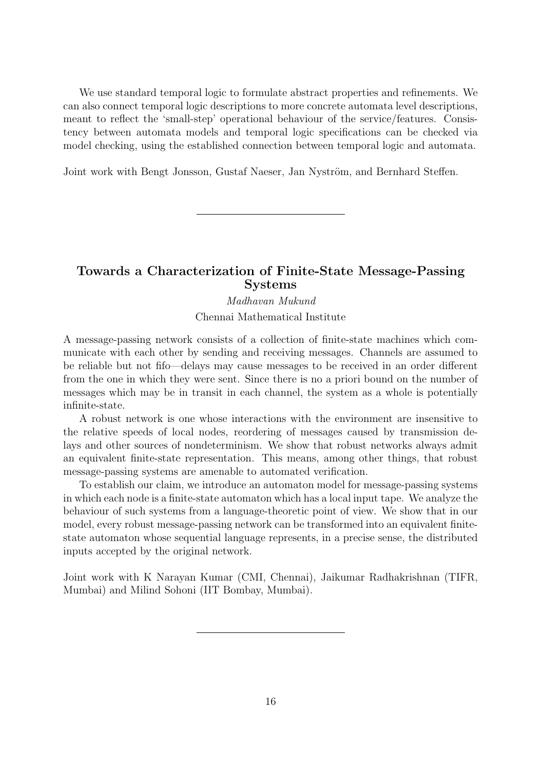We use standard temporal logic to formulate abstract properties and refinements. We can also connect temporal logic descriptions to more concrete automata level descriptions, meant to reflect the 'small-step' operational behaviour of the service/features. Consistency between automata models and temporal logic specifications can be checked via model checking, using the established connection between temporal logic and automata.

Joint work with Bengt Jonsson, Gustaf Naeser, Jan Nyström, and Bernhard Steffen.

### Towards a Characterization of Finite-State Message-Passing Systems

#### Madhavan Mukund Chennai Mathematical Institute

A message-passing network consists of a collection of finite-state machines which communicate with each other by sending and receiving messages. Channels are assumed to be reliable but not fifo—delays may cause messages to be received in an order different from the one in which they were sent. Since there is no a priori bound on the number of messages which may be in transit in each channel, the system as a whole is potentially infinite-state.

A robust network is one whose interactions with the environment are insensitive to the relative speeds of local nodes, reordering of messages caused by transmission delays and other sources of nondeterminism. We show that robust networks always admit an equivalent finite-state representation. This means, among other things, that robust message-passing systems are amenable to automated verification.

To establish our claim, we introduce an automaton model for message-passing systems in which each node is a finite-state automaton which has a local input tape. We analyze the behaviour of such systems from a language-theoretic point of view. We show that in our model, every robust message-passing network can be transformed into an equivalent finitestate automaton whose sequential language represents, in a precise sense, the distributed inputs accepted by the original network.

Joint work with K Narayan Kumar (CMI, Chennai), Jaikumar Radhakrishnan (TIFR, Mumbai) and Milind Sohoni (IIT Bombay, Mumbai).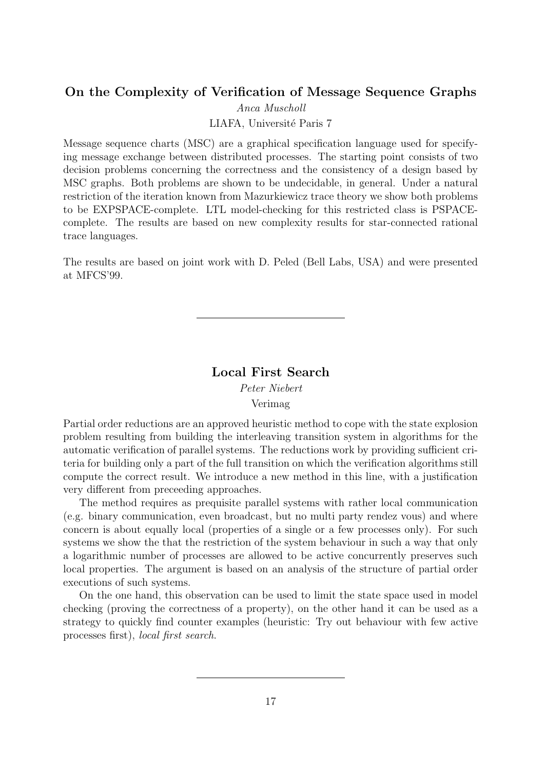### On the Complexity of Verification of Message Sequence Graphs

Anca Muscholl

LIAFA, Université Paris 7

Message sequence charts (MSC) are a graphical specification language used for specifying message exchange between distributed processes. The starting point consists of two decision problems concerning the correctness and the consistency of a design based by MSC graphs. Both problems are shown to be undecidable, in general. Under a natural restriction of the iteration known from Mazurkiewicz trace theory we show both problems to be EXPSPACE-complete. LTL model-checking for this restricted class is PSPACEcomplete. The results are based on new complexity results for star-connected rational trace languages.

The results are based on joint work with D. Peled (Bell Labs, USA) and were presented at MFCS'99.

#### Local First Search

Peter Niebert

Verimag

Partial order reductions are an approved heuristic method to cope with the state explosion problem resulting from building the interleaving transition system in algorithms for the automatic verification of parallel systems. The reductions work by providing sufficient criteria for building only a part of the full transition on which the verification algorithms still compute the correct result. We introduce a new method in this line, with a justification very different from preceeding approaches.

The method requires as prequisite parallel systems with rather local communication (e.g. binary communication, even broadcast, but no multi party rendez vous) and where concern is about equally local (properties of a single or a few processes only). For such systems we show the that the restriction of the system behaviour in such a way that only a logarithmic number of processes are allowed to be active concurrently preserves such local properties. The argument is based on an analysis of the structure of partial order executions of such systems.

On the one hand, this observation can be used to limit the state space used in model checking (proving the correctness of a property), on the other hand it can be used as a strategy to quickly find counter examples (heuristic: Try out behaviour with few active processes first), local first search.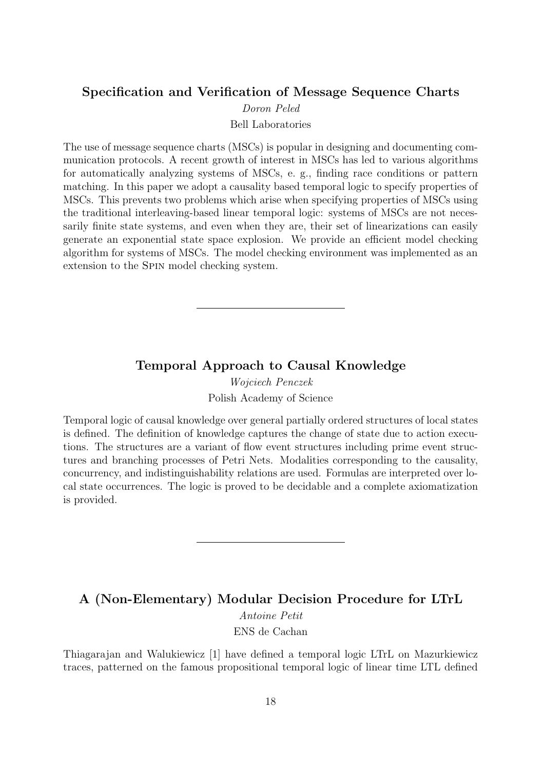### Specification and Verification of Message Sequence Charts

Doron Peled

Bell Laboratories

The use of message sequence charts (MSCs) is popular in designing and documenting communication protocols. A recent growth of interest in MSCs has led to various algorithms for automatically analyzing systems of MSCs, e. g., finding race conditions or pattern matching. In this paper we adopt a causality based temporal logic to specify properties of MSCs. This prevents two problems which arise when specifying properties of MSCs using the traditional interleaving-based linear temporal logic: systems of MSCs are not necessarily finite state systems, and even when they are, their set of linearizations can easily generate an exponential state space explosion. We provide an efficient model checking algorithm for systems of MSCs. The model checking environment was implemented as an extension to the Spin model checking system.

### Temporal Approach to Causal Knowledge

Wojciech Penczek Polish Academy of Science

Temporal logic of causal knowledge over general partially ordered structures of local states is defined. The definition of knowledge captures the change of state due to action executions. The structures are a variant of flow event structures including prime event structures and branching processes of Petri Nets. Modalities corresponding to the causality, concurrency, and indistinguishability relations are used. Formulas are interpreted over local state occurrences. The logic is proved to be decidable and a complete axiomatization is provided.

### A (Non-Elementary) Modular Decision Procedure for LTrL

Antoine Petit

ENS de Cachan

Thiagarajan and Walukiewicz [1] have defined a temporal logic LTrL on Mazurkiewicz traces, patterned on the famous propositional temporal logic of linear time LTL defined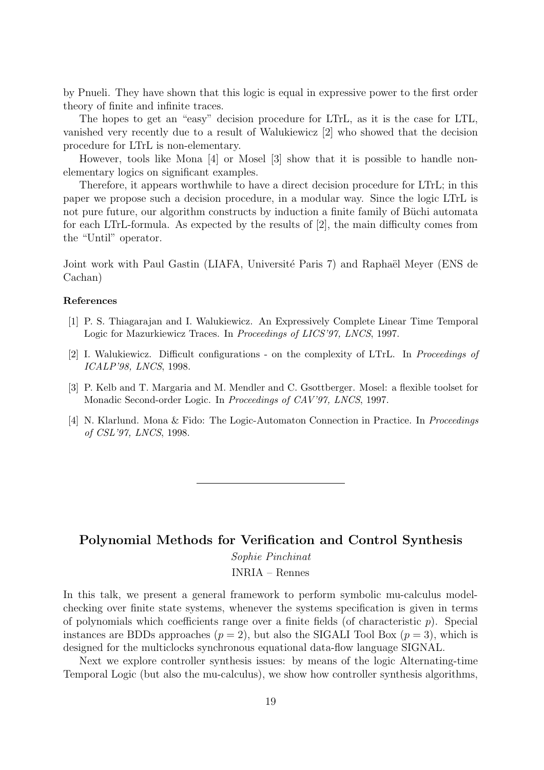by Pnueli. They have shown that this logic is equal in expressive power to the first order theory of finite and infinite traces.

The hopes to get an "easy" decision procedure for LTrL, as it is the case for LTL, vanished very recently due to a result of Walukiewicz [2] who showed that the decision procedure for LTrL is non-elementary.

However, tools like Mona [4] or Mosel [3] show that it is possible to handle nonelementary logics on significant examples.

Therefore, it appears worthwhile to have a direct decision procedure for LTrL; in this paper we propose such a decision procedure, in a modular way. Since the logic LTrL is not pure future, our algorithm constructs by induction a finite family of Büchi automata for each LTrL-formula. As expected by the results of [2], the main difficulty comes from the "Until" operator.

Joint work with Paul Gastin (LIAFA, Université Paris 7) and Raphaël Meyer (ENS de Cachan)

#### References

- [1] P. S. Thiagarajan and I. Walukiewicz. An Expressively Complete Linear Time Temporal Logic for Mazurkiewicz Traces. In Proceedings of LICS'97, LNCS, 1997.
- [2] I. Walukiewicz. Difficult configurations on the complexity of LTrL. In Proceedings of ICALP'98, LNCS, 1998.
- [3] P. Kelb and T. Margaria and M. Mendler and C. Gsottberger. Mosel: a flexible toolset for Monadic Second-order Logic. In Proceedings of CAV'97, LNCS, 1997.
- [4] N. Klarlund. Mona & Fido: The Logic-Automaton Connection in Practice. In Proceedings of CSL'97, LNCS, 1998.

### Polynomial Methods for Verification and Control Synthesis

Sophie Pinchinat

INRIA – Rennes

In this talk, we present a general framework to perform symbolic mu-calculus modelchecking over finite state systems, whenever the systems specification is given in terms of polynomials which coefficients range over a finite fields (of characteristic  $p$ ). Special instances are BDDs approaches  $(p = 2)$ , but also the SIGALI Tool Box  $(p = 3)$ , which is designed for the multiclocks synchronous equational data-flow language SIGNAL.

Next we explore controller synthesis issues: by means of the logic Alternating-time Temporal Logic (but also the mu-calculus), we show how controller synthesis algorithms,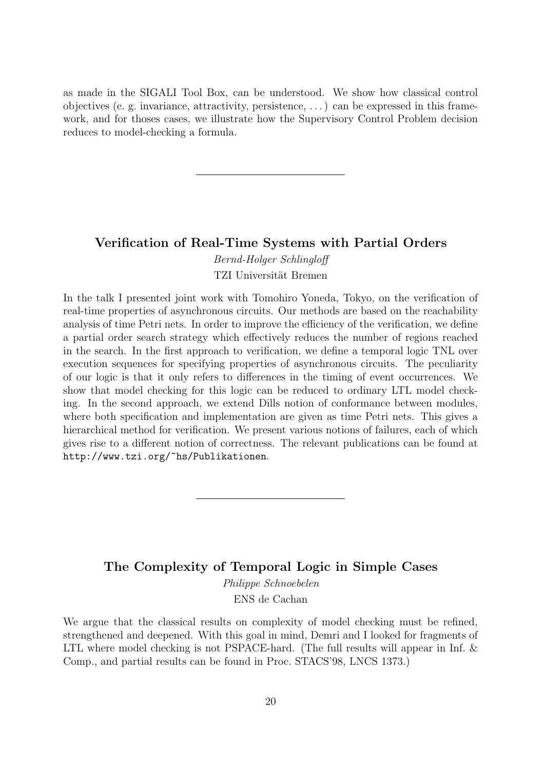as made in the SIGALI Tool Box, can be understood. We show how classical control objectives (e. g. invariance, attractivity, persistence, . . . ) can be expressed in this framework, and for thoses cases, we illustrate how the Supervisory Control Problem decision reduces to model-checking a formula.

#### Verification of Real-Time Systems with Partial Orders

Bernd-Holger Schlingloff TZI Universität Bremen

In the talk I presented joint work with Tomohiro Yoneda, Tokyo, on the verification of real-time properties of asynchronous circuits. Our methods are based on the reachability analysis of time Petri nets. In order to improve the efficiency of the verification, we define a partial order search strategy which effectively reduces the number of regions reached in the search. In the first approach to verification, we define a temporal logic TNL over execution sequences for specifying properties of asynchronous circuits. The peculiarity of our logic is that it only refers to differences in the timing of event occurrences. We show that model checking for this logic can be reduced to ordinary LTL model checking. In the second approach, we extend Dills notion of conformance between modules, where both specification and implementation are given as time Petri nets. This gives a hierarchical method for verification. We present various notions of failures, each of which gives rise to a different notion of correctness. The relevant publications can be found at http://www.tzi.org/~hs/Publikationen.

### The Complexity of Temporal Logic in Simple Cases Philippe Schnoebelen

ENS de Cachan

We argue that the classical results on complexity of model checking must be refined, strengthened and deepened. With this goal in mind, Demri and I looked for fragments of LTL where model checking is not PSPACE-hard. (The full results will appear in Inf. & Comp., and partial results can be found in Proc. STACS'98, LNCS 1373.)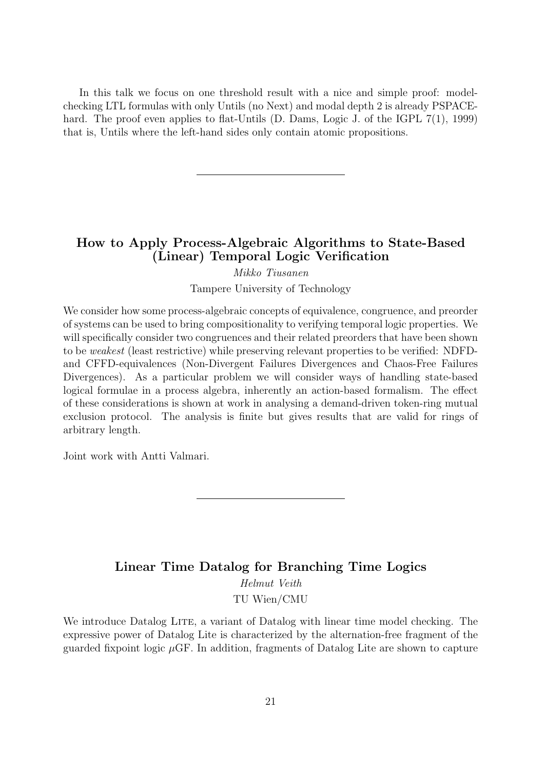In this talk we focus on one threshold result with a nice and simple proof: modelchecking LTL formulas with only Untils (no Next) and modal depth 2 is already PSPACEhard. The proof even applies to flat-Untils (D. Dams, Logic J. of the IGPL 7(1), 1999) that is, Untils where the left-hand sides only contain atomic propositions.

### How to Apply Process-Algebraic Algorithms to State-Based (Linear) Temporal Logic Verification

Mikko Tiusanen Tampere University of Technology

We consider how some process-algebraic concepts of equivalence, congruence, and preorder of systems can be used to bring compositionality to verifying temporal logic properties. We will specifically consider two congruences and their related preorders that have been shown to be weakest (least restrictive) while preserving relevant properties to be verified: NDFDand CFFD-equivalences (Non-Divergent Failures Divergences and Chaos-Free Failures Divergences). As a particular problem we will consider ways of handling state-based logical formulae in a process algebra, inherently an action-based formalism. The effect of these considerations is shown at work in analysing a demand-driven token-ring mutual exclusion protocol. The analysis is finite but gives results that are valid for rings of arbitrary length.

Joint work with Antti Valmari.

## Linear Time Datalog for Branching Time Logics Helmut Veith TU Wien/CMU

We introduce Datalog LITE, a variant of Datalog with linear time model checking. The expressive power of Datalog Lite is characterized by the alternation-free fragment of the guarded fixpoint logic  $\mu$ GF. In addition, fragments of Datalog Lite are shown to capture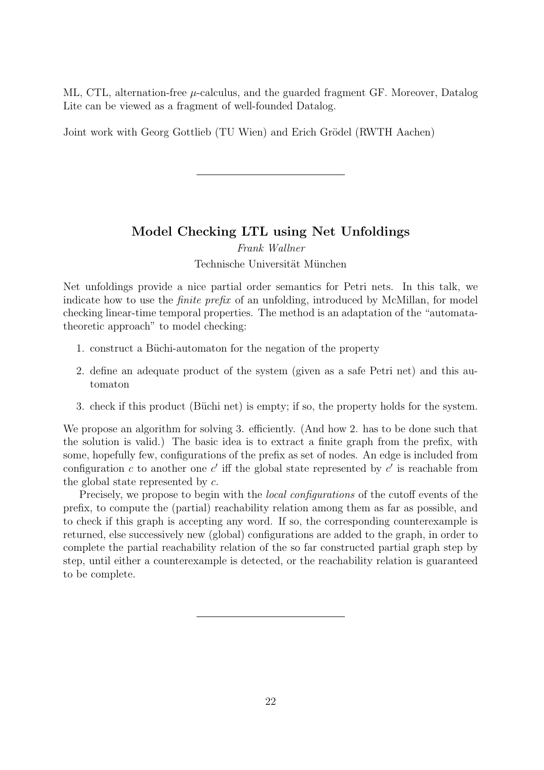ML, CTL, alternation-free  $\mu$ -calculus, and the guarded fragment GF. Moreover, Datalog Lite can be viewed as a fragment of well-founded Datalog.

Joint work with Georg Gottlieb (TU Wien) and Erich Grödel (RWTH Aachen)

### Model Checking LTL using Net Unfoldings

Frank Wallner

Technische Universität München

Net unfoldings provide a nice partial order semantics for Petri nets. In this talk, we indicate how to use the *finite prefix* of an unfolding, introduced by McMillan, for model checking linear-time temporal properties. The method is an adaptation of the "automatatheoretic approach" to model checking:

- 1. construct a Büchi-automaton for the negation of the property
- 2. define an adequate product of the system (given as a safe Petri net) and this automaton
- 3. check if this product (Büchi net) is empty; if so, the property holds for the system.

We propose an algorithm for solving 3. efficiently. (And how 2. has to be done such that the solution is valid.) The basic idea is to extract a finite graph from the prefix, with some, hopefully few, configurations of the prefix as set of nodes. An edge is included from configuration c to another one c' iff the global state represented by  $c'$  is reachable from the global state represented by c.

Precisely, we propose to begin with the *local configurations* of the cutoff events of the prefix, to compute the (partial) reachability relation among them as far as possible, and to check if this graph is accepting any word. If so, the corresponding counterexample is returned, else successively new (global) configurations are added to the graph, in order to complete the partial reachability relation of the so far constructed partial graph step by step, until either a counterexample is detected, or the reachability relation is guaranteed to be complete.